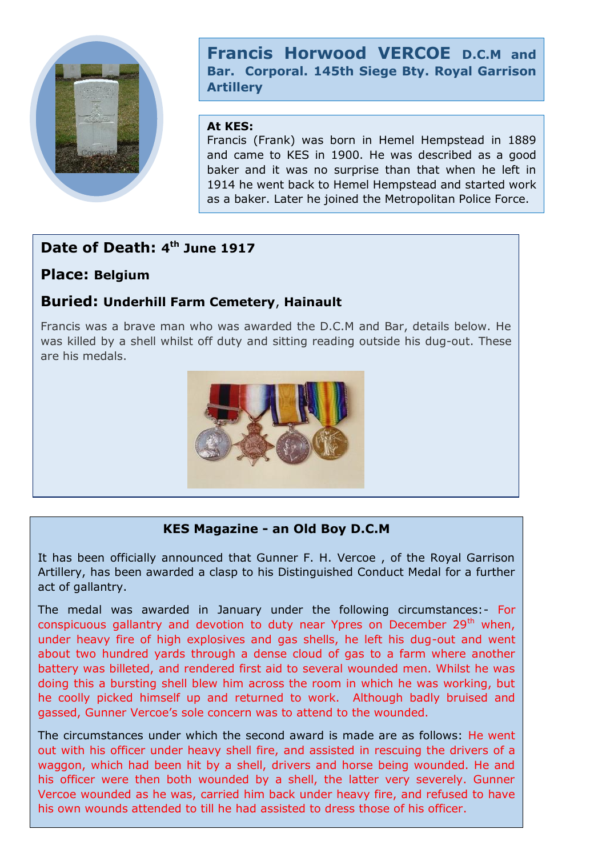

**Francis Horwood VERCOE D.C.M and Bar. Corporal. 145th Siege Bty. Royal Garrison Artillery**

#### **At KES:**

Francis (Frank) was born in Hemel Hempstead in 1889 and came to KES in 1900. He was described as a good baker and it was no surprise than that when he left in 1914 he went back to Hemel Hempstead and started work as a baker. Later he joined the Metropolitan Police Force.

# **Date of Death: 4 th June 1917**

# **Place: Belgium**

# **Buried: Underhill Farm Cemetery**, **Hainault**

Francis was a brave man who was awarded the D.C.M and Bar, details below. He was killed by a shell whilst off duty and sitting reading outside his dug-out. These are his medals.



### **KES Magazine - an Old Boy D.C.M**

It has been officially announced that Gunner F. H. Vercoe , of the Royal Garrison Artillery, has been awarded a clasp to his Distinguished Conduct Medal for a further act of gallantry.

The medal was awarded in January under the following circumstances:- For conspicuous gallantry and devotion to duty near Ypres on December  $29<sup>th</sup>$  when, under heavy fire of high explosives and gas shells, he left his dug-out and went about two hundred yards through a dense cloud of gas to a farm where another battery was billeted, and rendered first aid to several wounded men. Whilst he was doing this a bursting shell blew him across the room in which he was working, but he coolly picked himself up and returned to work. Although badly bruised and gassed, Gunner Vercoe's sole concern was to attend to the wounded.

The circumstances under which the second award is made are as follows: He went out with his officer under heavy shell fire, and assisted in rescuing the drivers of a waggon, which had been hit by a shell, drivers and horse being wounded. He and his officer were then both wounded by a shell, the latter very severely. Gunner Vercoe wounded as he was, carried him back under heavy fire, and refused to have his own wounds attended to till he had assisted to dress those of his officer.